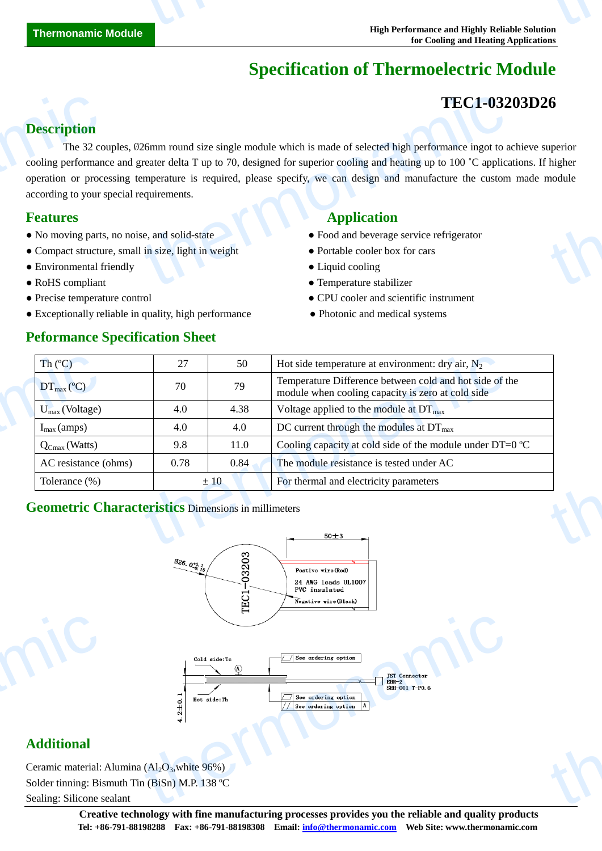# **Specification of Thermoelectric Module**

# **TEC1-03203D26**

thermonamic

### **Description**

The 32 couples, Ø26mm round size single module which is made of selected high performance ingot to achieve superior cooling performance and greater delta T up to 70, designed for superior cooling and heating up to 100 ˚C applications. If higher operation or processing temperature is required, please specify, we can design and manufacture the custom made module according to your special requirements. **Description**<br>The 32 cc<br>cooling performan<br>operation or proce<br>according to your :<br>**Features**<br>• No moving parts<br>• Compact structu<br>• Environmental f TEC1-032<br>
26mm round size single module which is made of selected high performance ingot to a<br>
reater delta T up to 70, designed for superior cooling and heating up to 100 °C applica<br>
emperature is required, please specify the Uperior<br>
ingher<br>
module

- No moving parts, no noise, and solid-state **•** Food and beverage service refrigerator
- Compact structure, small in size, light in weight Portable cooler box for cars
- Environmental friendly Liquid cooling Liquid cooling
- 
- 
- Exceptionally reliable in quality, high performance Photonic and medical systems

#### **Peformance Specification Sheet**

#### **Features Application**

- 
- 
- 
- RoHS compliant **Temperature stabilizer**
- Precise temperature control CPU cooler and scientific instrument
	-

| Th(C)                         | 27   | 50   | Hot side temperature at environment: dry air, $N_2$                                                          |
|-------------------------------|------|------|--------------------------------------------------------------------------------------------------------------|
| $DT_{\text{max}}(\mathbb{C})$ | 70   | 79   | Temperature Difference between cold and hot side of the<br>module when cooling capacity is zero at cold side |
| $U_{max}$ (Voltage)           | 4.0  | 4.38 | Voltage applied to the module at $DT_{\text{max}}$                                                           |
| $I_{\text{max}}$ (amps)       | 4.0  | 4.0  | DC current through the modules at $DT_{\text{max}}$                                                          |
| $Q_{Cmax}$ (Watts)            | 9.8  | 11.0 | Cooling capacity at cold side of the module under DT=0 $\mathbb{C}$                                          |
| AC resistance (ohms)          | 0.78 | 0.84 | The module resistance is tested under AC                                                                     |
| Tolerance (%)                 |      | ±10  | For thermal and electricity parameters                                                                       |

## **Geometric Characteristics** Dimensions in millimeters



#### **Additional**

Ceramic material: Alumina  $(Al<sub>2</sub>O<sub>3</sub>)$ , white 96%) Solder tinning: Bismuth Tin (BiSn) M.P. 138 °C Sealing: Silicone sealant Additional<br>Ceramic material:<br>Solder tinning: Bis<br>Sealing: Silicone s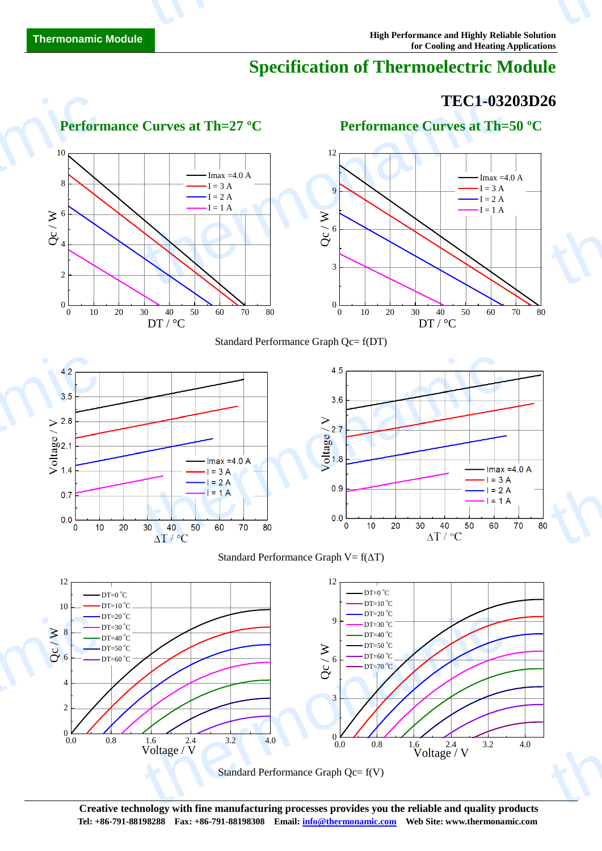# **Specification of Thermoelectric Module**

# **TEC1-03203D26**











thermonamic







**Creative technology with fine manufacturing processes provides you the reliable and quality products Tel: +86-791-88198288 Fax: +86-791-88198308 Email: info@thermonamic.com Web Site: www.thermonamic.com**